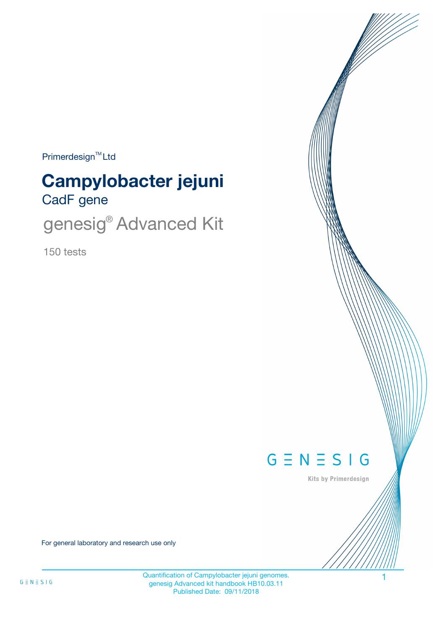$Primerdesign^{\text{TM}}$ Ltd

# CadF gene **Campylobacter jejuni**

genesig<sup>®</sup> Advanced Kit

150 tests



Kits by Primerdesign

For general laboratory and research use only

Quantification of Campylobacter jejuni genomes. 1 genesig Advanced kit handbook HB10.03.11 Published Date: 09/11/2018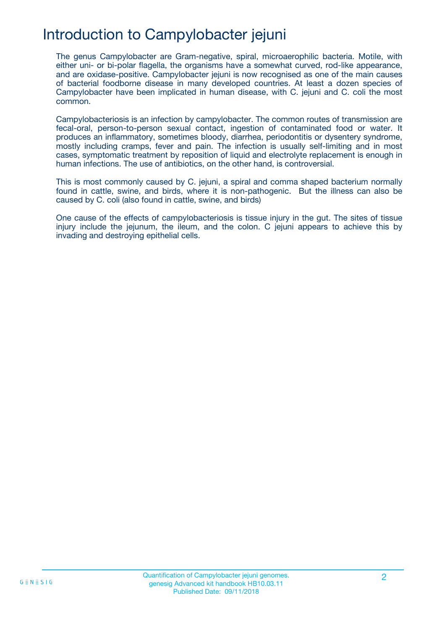## Introduction to Campylobacter jejuni

The genus Campylobacter are Gram-negative, spiral, microaerophilic bacteria. Motile, with either uni- or bi-polar flagella, the organisms have a somewhat curved, rod-like appearance, and are oxidase-positive. Campylobacter jejuni is now recognised as one of the main causes of bacterial foodborne disease in many developed countries. At least a dozen species of Campylobacter have been implicated in human disease, with C. jejuni and C. coli the most common.

Campylobacteriosis is an infection by campylobacter. The common routes of transmission are fecal-oral, person-to-person sexual contact, ingestion of contaminated food or water. It produces an inflammatory, sometimes bloody, diarrhea, periodontitis or dysentery syndrome, mostly including cramps, fever and pain. The infection is usually self-limiting and in most cases, symptomatic treatment by reposition of liquid and electrolyte replacement is enough in human infections. The use of antibiotics, on the other hand, is controversial.

This is most commonly caused by C. jejuni, a spiral and comma shaped bacterium normally found in cattle, swine, and birds, where it is non-pathogenic. But the illness can also be caused by C. coli (also found in cattle, swine, and birds)

One cause of the effects of campylobacteriosis is tissue injury in the gut. The sites of tissue injury include the jejunum, the ileum, and the colon. C jejuni appears to achieve this by invading and destroying epithelial cells.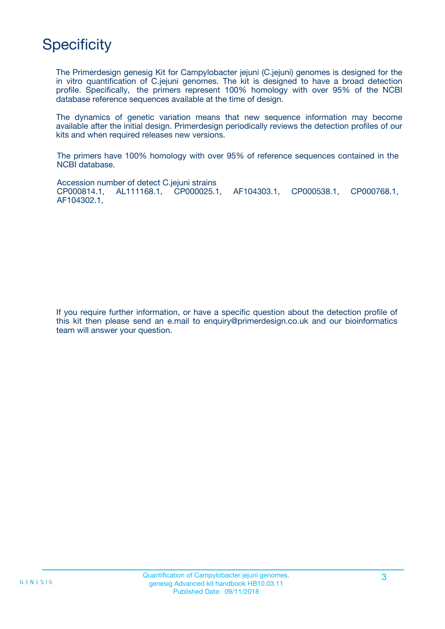## **Specificity**

The Primerdesign genesig Kit for Campylobacter jejuni (C.jejuni) genomes is designed for the in vitro quantification of C.jejuni genomes. The kit is designed to have a broad detection profile. Specifically, the primers represent 100% homology with over 95% of the NCBI database reference sequences available at the time of design.

The dynamics of genetic variation means that new sequence information may become available after the initial design. Primerdesign periodically reviews the detection profiles of our kits and when required releases new versions.

The primers have 100% homology with over 95% of reference sequences contained in the NCBI database.

Accession number of detect C.jejuni strains CP000814.1, AL111168.1, CP000025.1, AF104303.1, CP000538.1, CP000768.1, AF104302.1,

If you require further information, or have a specific question about the detection profile of this kit then please send an e.mail to enquiry@primerdesign.co.uk and our bioinformatics team will answer your question.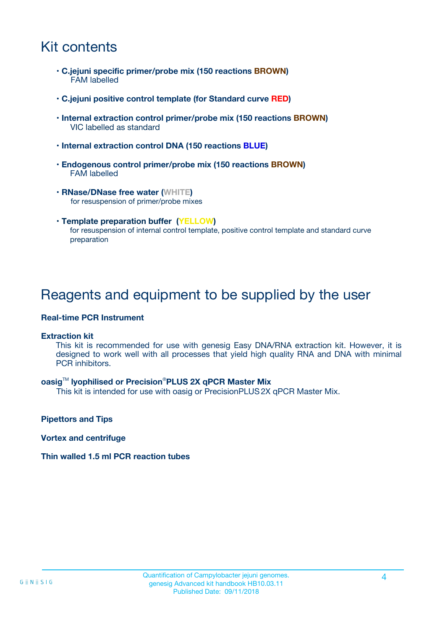## Kit contents

- **C.jejuni specific primer/probe mix (150 reactions BROWN)** FAM labelled
- **C.jejuni positive control template (for Standard curve RED)**
- **Internal extraction control primer/probe mix (150 reactions BROWN)** VIC labelled as standard
- **Internal extraction control DNA (150 reactions BLUE)**
- **Endogenous control primer/probe mix (150 reactions BROWN)** FAM labelled
- **RNase/DNase free water (WHITE)** for resuspension of primer/probe mixes
- **Template preparation buffer (YELLOW)** for resuspension of internal control template, positive control template and standard curve preparation

### Reagents and equipment to be supplied by the user

#### **Real-time PCR Instrument**

#### **Extraction kit**

This kit is recommended for use with genesig Easy DNA/RNA extraction kit. However, it is designed to work well with all processes that yield high quality RNA and DNA with minimal PCR inhibitors.

#### **oasig**TM **lyophilised or Precision**®**PLUS 2X qPCR Master Mix**

This kit is intended for use with oasig or PrecisionPLUS2X qPCR Master Mix.

**Pipettors and Tips**

**Vortex and centrifuge**

#### **Thin walled 1.5 ml PCR reaction tubes**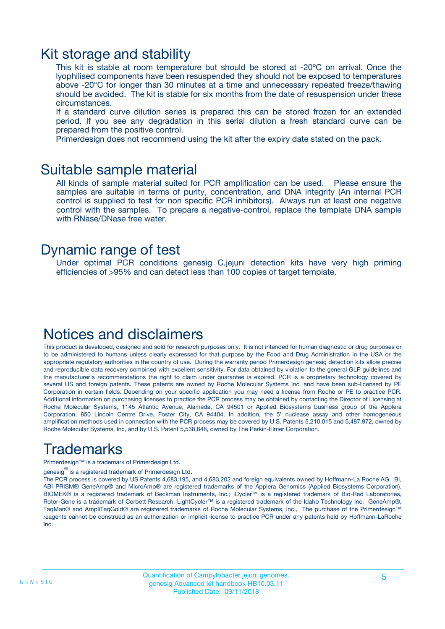### Kit storage and stability

This kit is stable at room temperature but should be stored at -20ºC on arrival. Once the lyophilised components have been resuspended they should not be exposed to temperatures above -20°C for longer than 30 minutes at a time and unnecessary repeated freeze/thawing should be avoided. The kit is stable for six months from the date of resuspension under these circumstances.

If a standard curve dilution series is prepared this can be stored frozen for an extended period. If you see any degradation in this serial dilution a fresh standard curve can be prepared from the positive control.

Primerdesign does not recommend using the kit after the expiry date stated on the pack.

### Suitable sample material

All kinds of sample material suited for PCR amplification can be used. Please ensure the samples are suitable in terms of purity, concentration, and DNA integrity (An internal PCR control is supplied to test for non specific PCR inhibitors). Always run at least one negative control with the samples. To prepare a negative-control, replace the template DNA sample with RNase/DNase free water.

### Dynamic range of test

Under optimal PCR conditions genesig C.jejuni detection kits have very high priming efficiencies of >95% and can detect less than 100 copies of target template.

### Notices and disclaimers

This product is developed, designed and sold for research purposes only. It is not intended for human diagnostic or drug purposes or to be administered to humans unless clearly expressed for that purpose by the Food and Drug Administration in the USA or the appropriate regulatory authorities in the country of use. During the warranty period Primerdesign genesig detection kits allow precise and reproducible data recovery combined with excellent sensitivity. For data obtained by violation to the general GLP guidelines and the manufacturer's recommendations the right to claim under guarantee is expired. PCR is a proprietary technology covered by several US and foreign patents. These patents are owned by Roche Molecular Systems Inc. and have been sub-licensed by PE Corporation in certain fields. Depending on your specific application you may need a license from Roche or PE to practice PCR. Additional information on purchasing licenses to practice the PCR process may be obtained by contacting the Director of Licensing at Roche Molecular Systems, 1145 Atlantic Avenue, Alameda, CA 94501 or Applied Biosystems business group of the Applera Corporation, 850 Lincoln Centre Drive, Foster City, CA 94404. In addition, the 5' nuclease assay and other homogeneous amplification methods used in connection with the PCR process may be covered by U.S. Patents 5,210,015 and 5,487,972, owned by Roche Molecular Systems, Inc, and by U.S. Patent 5,538,848, owned by The Perkin-Elmer Corporation.

## Trademarks

Primerdesign™ is a trademark of Primerdesign Ltd.

genesig $^\circledR$  is a registered trademark of Primerdesign Ltd.

The PCR process is covered by US Patents 4,683,195, and 4,683,202 and foreign equivalents owned by Hoffmann-La Roche AG. BI, ABI PRISM® GeneAmp® and MicroAmp® are registered trademarks of the Applera Genomics (Applied Biosystems Corporation). BIOMEK® is a registered trademark of Beckman Instruments, Inc.; iCycler™ is a registered trademark of Bio-Rad Laboratories, Rotor-Gene is a trademark of Corbett Research. LightCycler™ is a registered trademark of the Idaho Technology Inc. GeneAmp®, TaqMan® and AmpliTaqGold® are registered trademarks of Roche Molecular Systems, Inc., The purchase of the Primerdesign™ reagents cannot be construed as an authorization or implicit license to practice PCR under any patents held by Hoffmann-LaRoche Inc.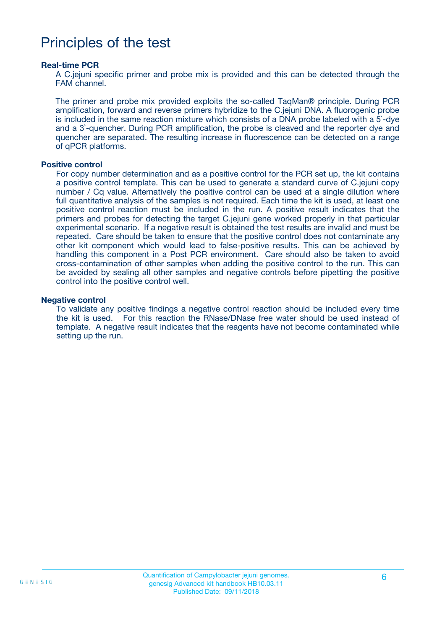### Principles of the test

#### **Real-time PCR**

A C.jejuni specific primer and probe mix is provided and this can be detected through the FAM channel.

The primer and probe mix provided exploits the so-called TaqMan® principle. During PCR amplification, forward and reverse primers hybridize to the C.jejuni DNA. A fluorogenic probe is included in the same reaction mixture which consists of a DNA probe labeled with a 5`-dye and a 3`-quencher. During PCR amplification, the probe is cleaved and the reporter dye and quencher are separated. The resulting increase in fluorescence can be detected on a range of qPCR platforms.

#### **Positive control**

For copy number determination and as a positive control for the PCR set up, the kit contains a positive control template. This can be used to generate a standard curve of C.jejuni copy number / Cq value. Alternatively the positive control can be used at a single dilution where full quantitative analysis of the samples is not required. Each time the kit is used, at least one positive control reaction must be included in the run. A positive result indicates that the primers and probes for detecting the target C.jejuni gene worked properly in that particular experimental scenario. If a negative result is obtained the test results are invalid and must be repeated. Care should be taken to ensure that the positive control does not contaminate any other kit component which would lead to false-positive results. This can be achieved by handling this component in a Post PCR environment. Care should also be taken to avoid cross-contamination of other samples when adding the positive control to the run. This can be avoided by sealing all other samples and negative controls before pipetting the positive control into the positive control well.

#### **Negative control**

To validate any positive findings a negative control reaction should be included every time the kit is used. For this reaction the RNase/DNase free water should be used instead of template. A negative result indicates that the reagents have not become contaminated while setting up the run.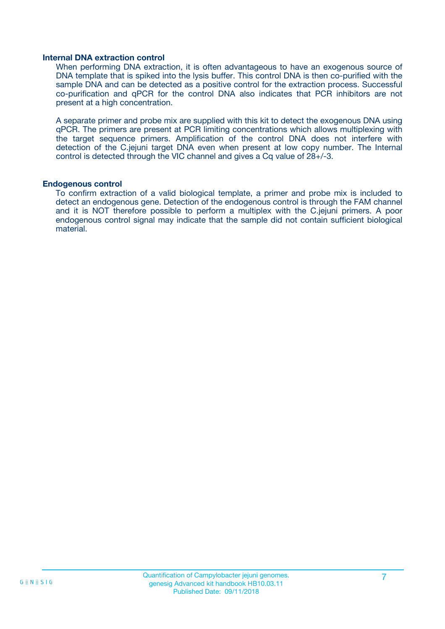#### **Internal DNA extraction control**

When performing DNA extraction, it is often advantageous to have an exogenous source of DNA template that is spiked into the lysis buffer. This control DNA is then co-purified with the sample DNA and can be detected as a positive control for the extraction process. Successful co-purification and qPCR for the control DNA also indicates that PCR inhibitors are not present at a high concentration.

A separate primer and probe mix are supplied with this kit to detect the exogenous DNA using qPCR. The primers are present at PCR limiting concentrations which allows multiplexing with the target sequence primers. Amplification of the control DNA does not interfere with detection of the C.jejuni target DNA even when present at low copy number. The Internal control is detected through the VIC channel and gives a Cq value of 28+/-3.

#### **Endogenous control**

To confirm extraction of a valid biological template, a primer and probe mix is included to detect an endogenous gene. Detection of the endogenous control is through the FAM channel and it is NOT therefore possible to perform a multiplex with the C.jejuni primers. A poor endogenous control signal may indicate that the sample did not contain sufficient biological material.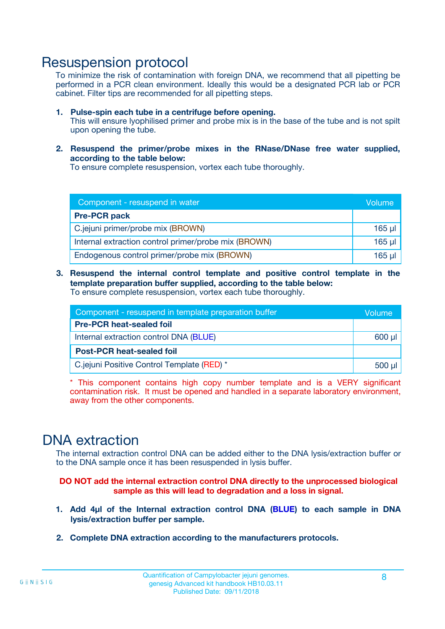### Resuspension protocol

To minimize the risk of contamination with foreign DNA, we recommend that all pipetting be performed in a PCR clean environment. Ideally this would be a designated PCR lab or PCR cabinet. Filter tips are recommended for all pipetting steps.

- **1. Pulse-spin each tube in a centrifuge before opening.** This will ensure lyophilised primer and probe mix is in the base of the tube and is not spilt upon opening the tube.
- **2. Resuspend the primer/probe mixes in the RNase/DNase free water supplied, according to the table below:**

To ensure complete resuspension, vortex each tube thoroughly.

| Component - resuspend in water                       |             |  |
|------------------------------------------------------|-------------|--|
| <b>Pre-PCR pack</b>                                  |             |  |
| C.jejuni primer/probe mix (BROWN)                    | $165$ $\mu$ |  |
| Internal extraction control primer/probe mix (BROWN) | $165$ µl    |  |
| Endogenous control primer/probe mix (BROWN)          | $165$ µl    |  |

**3. Resuspend the internal control template and positive control template in the template preparation buffer supplied, according to the table below:** To ensure complete resuspension, vortex each tube thoroughly.

| Component - resuspend in template preparation buffer |  |  |  |
|------------------------------------------------------|--|--|--|
| <b>Pre-PCR heat-sealed foil</b>                      |  |  |  |
| Internal extraction control DNA (BLUE)               |  |  |  |
| <b>Post-PCR heat-sealed foil</b>                     |  |  |  |
| C.jejuni Positive Control Template (RED) *           |  |  |  |

\* This component contains high copy number template and is a VERY significant contamination risk. It must be opened and handled in a separate laboratory environment, away from the other components.

### DNA extraction

The internal extraction control DNA can be added either to the DNA lysis/extraction buffer or to the DNA sample once it has been resuspended in lysis buffer.

**DO NOT add the internal extraction control DNA directly to the unprocessed biological sample as this will lead to degradation and a loss in signal.**

- **1. Add 4µl of the Internal extraction control DNA (BLUE) to each sample in DNA lysis/extraction buffer per sample.**
- **2. Complete DNA extraction according to the manufacturers protocols.**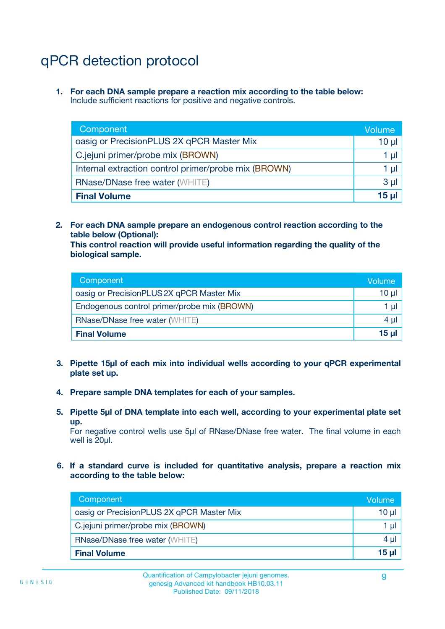# qPCR detection protocol

**1. For each DNA sample prepare a reaction mix according to the table below:** Include sufficient reactions for positive and negative controls.

| Component                                            | Volume   |
|------------------------------------------------------|----------|
| oasig or PrecisionPLUS 2X qPCR Master Mix            | $10 \mu$ |
| C.jejuni primer/probe mix (BROWN)                    | 1 µI l   |
| Internal extraction control primer/probe mix (BROWN) | 1 µl     |
| <b>RNase/DNase free water (WHITE)</b>                | $3 \mu$  |
| <b>Final Volume</b>                                  | 15 µl    |

**2. For each DNA sample prepare an endogenous control reaction according to the table below (Optional):**

**This control reaction will provide useful information regarding the quality of the biological sample.**

| Component                                   | Volume          |
|---------------------------------------------|-----------------|
| oasig or PrecisionPLUS 2X qPCR Master Mix   | $10 \mu$        |
| Endogenous control primer/probe mix (BROWN) | 1 µI            |
| <b>RNase/DNase free water (WHITE)</b>       | 4 µl            |
| <b>Final Volume</b>                         | 15 <sub>µ</sub> |

- **3. Pipette 15µl of each mix into individual wells according to your qPCR experimental plate set up.**
- **4. Prepare sample DNA templates for each of your samples.**
- **5. Pipette 5µl of DNA template into each well, according to your experimental plate set up.**

For negative control wells use 5µl of RNase/DNase free water. The final volume in each well is 20ul.

**6. If a standard curve is included for quantitative analysis, prepare a reaction mix according to the table below:**

| Component                                 | Volume          |
|-------------------------------------------|-----------------|
| oasig or PrecisionPLUS 2X qPCR Master Mix | $10 \mu$        |
| C.jejuni primer/probe mix (BROWN)         | 1 µI            |
| <b>RNase/DNase free water (WHITE)</b>     | $4 \mu$         |
| <b>Final Volume</b>                       | 15 <sub>µ</sub> |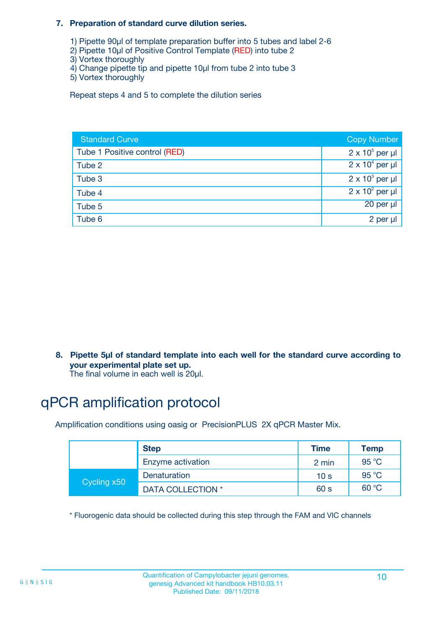#### **7. Preparation of standard curve dilution series.**

- 1) Pipette 90µl of template preparation buffer into 5 tubes and label 2-6
- 2) Pipette 10µl of Positive Control Template (RED) into tube 2
- 3) Vortex thoroughly
- 4) Change pipette tip and pipette 10µl from tube 2 into tube 3
- 5) Vortex thoroughly

Repeat steps 4 and 5 to complete the dilution series

| <b>Standard Curve</b>         | <b>Copy Number</b>     |
|-------------------------------|------------------------|
| Tube 1 Positive control (RED) | $2 \times 10^5$ per µl |
| Tube 2                        | $2 \times 10^4$ per µl |
| Tube 3                        | $2 \times 10^3$ per µl |
| Tube 4                        | $2 \times 10^2$ per µl |
| Tube 5                        | 20 per µl              |
| Tube 6                        | 2 per µl               |

**8. Pipette 5µl of standard template into each well for the standard curve according to your experimental plate set up.**

#### The final volume in each well is 20µl.

## qPCR amplification protocol

Amplification conditions using oasig or PrecisionPLUS 2X qPCR Master Mix.

|             | <b>Step</b>       | <b>Time</b>     | Temp    |
|-------------|-------------------|-----------------|---------|
|             | Enzyme activation | 2 min           | 95 °C   |
| Cycling x50 | Denaturation      | 10 <sub>s</sub> | 95 $°C$ |
|             | DATA COLLECTION * | 60 s            | 60 °C   |

\* Fluorogenic data should be collected during this step through the FAM and VIC channels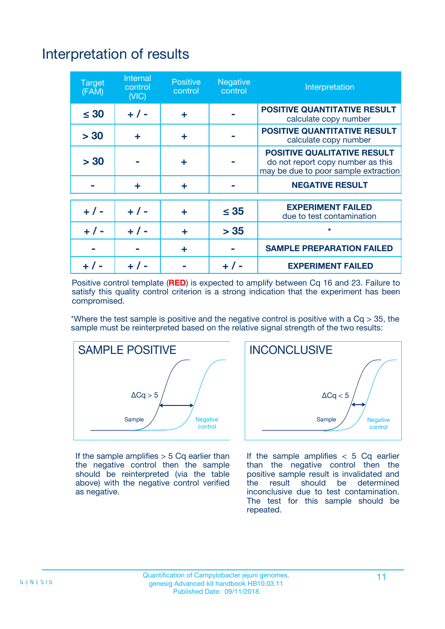# Interpretation of results

| <b>Target</b><br>(FAM) | <b>Internal</b><br>control<br>(NIC) | <b>Positive</b><br>control | <b>Negative</b><br>control | Interpretation                                                                                                  |
|------------------------|-------------------------------------|----------------------------|----------------------------|-----------------------------------------------------------------------------------------------------------------|
| $\leq 30$              | $+ 1 -$                             | ÷                          |                            | <b>POSITIVE QUANTITATIVE RESULT</b><br>calculate copy number                                                    |
| > 30                   | ٠                                   | ÷                          |                            | <b>POSITIVE QUANTITATIVE RESULT</b><br>calculate copy number                                                    |
| > 30                   |                                     | ÷                          |                            | <b>POSITIVE QUALITATIVE RESULT</b><br>do not report copy number as this<br>may be due to poor sample extraction |
|                        | ÷                                   | ÷                          |                            | <b>NEGATIVE RESULT</b>                                                                                          |
| $+ 1 -$                | $+ 1 -$                             | ÷                          | $\leq$ 35                  | <b>EXPERIMENT FAILED</b><br>due to test contamination                                                           |
| $+$ / -                | $+ 1 -$                             | ÷                          | > 35                       | $\star$                                                                                                         |
|                        |                                     | ÷                          |                            | <b>SAMPLE PREPARATION FAILED</b>                                                                                |
|                        |                                     |                            | $+$ /                      | <b>EXPERIMENT FAILED</b>                                                                                        |

Positive control template (**RED**) is expected to amplify between Cq 16 and 23. Failure to satisfy this quality control criterion is a strong indication that the experiment has been compromised.

\*Where the test sample is positive and the negative control is positive with a  $Ca > 35$ , the sample must be reinterpreted based on the relative signal strength of the two results:



If the sample amplifies  $> 5$  Cq earlier than the negative control then the sample should be reinterpreted (via the table above) with the negative control verified as negative.



If the sample amplifies  $< 5$  Cq earlier than the negative control then the positive sample result is invalidated and<br>the result should be determined  $the$  result should be inconclusive due to test contamination. The test for this sample should be repeated.